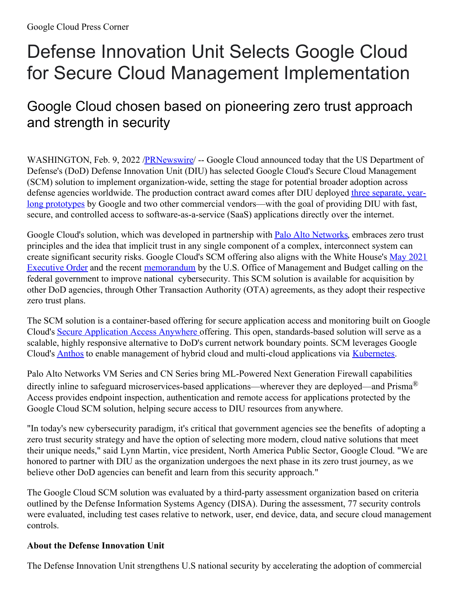## Defense Innovation Unit Selects Google Cloud for Secure Cloud Management Implementation

## Google Cloud chosen based on pioneering zero trust approach and strength in security

WASHINGTON, Feb. 9, 2022 /**PRNewswire/** -- Google Cloud announced today that the US Department of Defense's (DoD) Defense Innovation Unit (DIU) has selected Google Cloud's Secure Cloud Management (SCM) solution to implement organization-wide, setting the stage for potential broader adoption across defense agencies worldwide. The production contract award comes after DIU deployed three separate, yearlong prototypes by Google and two other commercial [vendors—with](https://c212.net/c/link/?t=0&l=en&o=3436619-1&h=1922747514&u=https%3A%2F%2Fwww.diu.mil%2Flatest%2Fdefense-innovation-units-secure-cloud-management-prototypes-completed-with&a=three+separate%2C+year-long+prototypes) the goal of providing DIU with fast, secure, and controlled access to software-as-a-service (SaaS) applications directly over the internet.

Google Cloud's solution, which was developed in partnership with **Palo Alto [Networks](https://c212.net/c/link/?t=0&l=en&o=3436619-1&h=1731940496&u=https%3A%2F%2Fwww.paloaltonetworks.com%2F&a=Palo+Alto+Networks)**, embraces zero trust principles and the idea that implicit trust in any single component of a complex, interconnect system can create significant security risks. Google Cloud's SCM offering also aligns with the White House's May 2021 Executive Order and the recent [memorandum](https://c212.net/c/link/?t=0&l=en&o=3436619-1&h=3347150890&u=https%3A%2F%2Fwww.whitehouse.gov%2Fbriefing-room%2Fpresidential-actions%2F2021%2F05%2F12%2Fexecutive-order-on-improving-the-nations-cybersecurity%2F&a=May+2021+Executive+Order) by the U.S. Office of Management and Budget calling on the federal government to improve national cybersecurity. This SCM solution is available for acquisition by other DoD agencies, through Other Transaction Authority (OTA) agreements, as they adopt their respective zero trust plans.

The SCM solution is a container-based offeri[ng](https://c212.net/c/link/?t=0&l=en&o=3436619-1&h=1114594588&u=https%3A%2F%2Fcloud.google.com%2Fblog%2Ftopics%2Fpublic-sector%2Fnew-google-cloud-security-offerings-just-announced-government-security-summit-keynote&a=%C2%A0) for secure application access and monitoring built on Google Cloud's Secure [Application](https://c212.net/c/link/?t=0&l=en&o=3436619-1&h=1682753602&u=https%3A%2F%2Fcloud.google.com%2Fblog%2Ftopics%2Fpublic-sector%2Fnew-google-cloud-security-offerings-just-announced-government-security-summit-keynote&a=Secure+Application+Access+Anywhere) Access Anywhere offering. This open, standards-based solution will serve as a scalable, highly responsive alternative to DoD's current network boundary points. SCM leverages Google Cloud's [Anthos](https://c212.net/c/link/?t=0&l=en&o=3436619-1&h=2419265257&u=https%3A%2F%2Fcloud.google.com%2Fanthos&a=Anthos) to enable management of hybrid cloud and multi-cloud applications via [Kubernetes](https://c212.net/c/link/?t=0&l=en&o=3436619-1&h=2738410020&u=https%3A%2F%2Fcloud.google.com%2Fkubernetes-engine&a=Kubernetes).

Palo Alto Networks VM Series and CN Series bring ML-Powered Next Generation Firewall capabilities directly inline to safeguard microservices-based applications—wherever they are deployed—and Prisma® Access provides endpoint inspection, authentication and remote access for applications protected by the Google Cloud SCM solution, helping secure access to DIU resources from anywhere.

"In today's new cybersecurity paradigm, it's critical that government agencies see the benefits of adopting a zero trust security strategy and have the option of selecting more modern, cloud native solutions that meet their unique needs," said Lynn Martin, vice president, North America Public Sector, Google Cloud. "We are honored to partner with DIU as the organization undergoes the next phase in its zero trust journey, as we believe other DoD agencies can benefit and learn from this security approach."

The Google Cloud SCM solution was evaluated by a third-party assessment organization based on criteria outlined by the Defense Information Systems Agency (DISA). During the assessment, 77 security controls were evaluated, including test cases relative to network, user, end device, data, and secure cloud management controls.

## **About the Defense Innovation Unit**

The Defense Innovation Unit strengthens U.S national security by accelerating the adoption of commercial